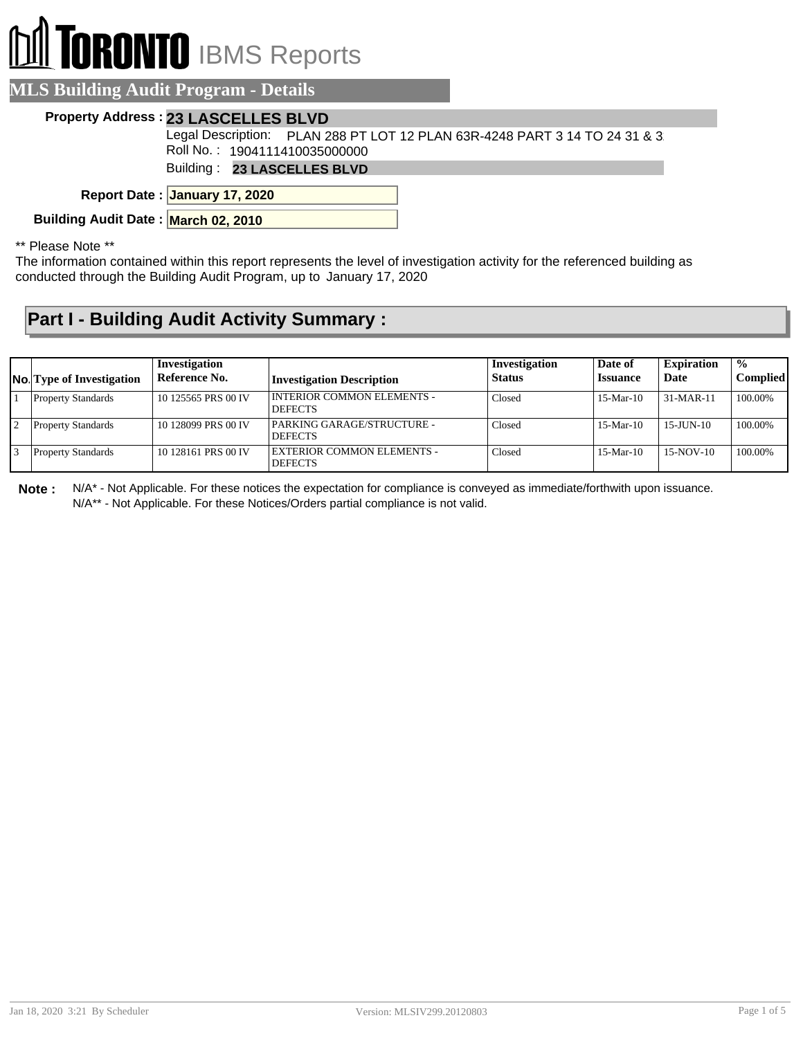## **RONTO** IBMS Reports

| <b>LS Building Audit Program - Details</b>                                                                  |
|-------------------------------------------------------------------------------------------------------------|
| <b>Property Address: 23 LASCELLES BLVD</b>                                                                  |
| Legal Description: PLAN 288 PT LOT 12 PLAN 63R-4248 PART 3 14 TO 24 31 & 3<br>Roll No.: 1904111410035000000 |
| Building: 23 LASCELLES BLVD                                                                                 |
| Report Date: January 17, 2020                                                                               |

**Building Audit Date : March 02, 2010**

\*\* Please Note \*\*

The information contained within this report represents the level of investigation activity for the referenced building as conducted through the Building Audit Program, up to January 17, 2020

## **Part I - Building Audit Activity Summary :**

| <b>No.</b> Type of Investigation | Investigation<br>Reference No. | <b>Investigation Description</b>               | Investigation<br>Status | Date of<br><b>Issuance</b> | <b>Expiration</b><br>Date | $\frac{0}{0}$<br><b>Complied</b> |
|----------------------------------|--------------------------------|------------------------------------------------|-------------------------|----------------------------|---------------------------|----------------------------------|
| <b>Property Standards</b>        | 10 125565 PRS 00 IV            | I INTERIOR COMMON ELEMENTS -<br><b>DEFECTS</b> | Closed                  | $15-Mar-10$                | $31-MAR-11$               | 100.00%                          |
| <b>Property Standards</b>        | 10 128099 PRS 00 IV            | PARKING GARAGE/STRUCTURE -<br><b>DEFECTS</b>   | Closed                  | $15-Mar-10$                | $15$ -JUN-10              | 100.00%                          |
| <b>Property Standards</b>        | 10 128161 PRS 00 IV            | EXTERIOR COMMON ELEMENTS -<br><b>DEFECTS</b>   | Closed                  | $15-Mar-10$                | $15-NOV-10$               | 100.00%                          |

**Note :** N/A\* - Not Applicable. For these notices the expectation for compliance is conveyed as immediate/forthwith upon issuance. N/A\*\* - Not Applicable. For these Notices/Orders partial compliance is not valid.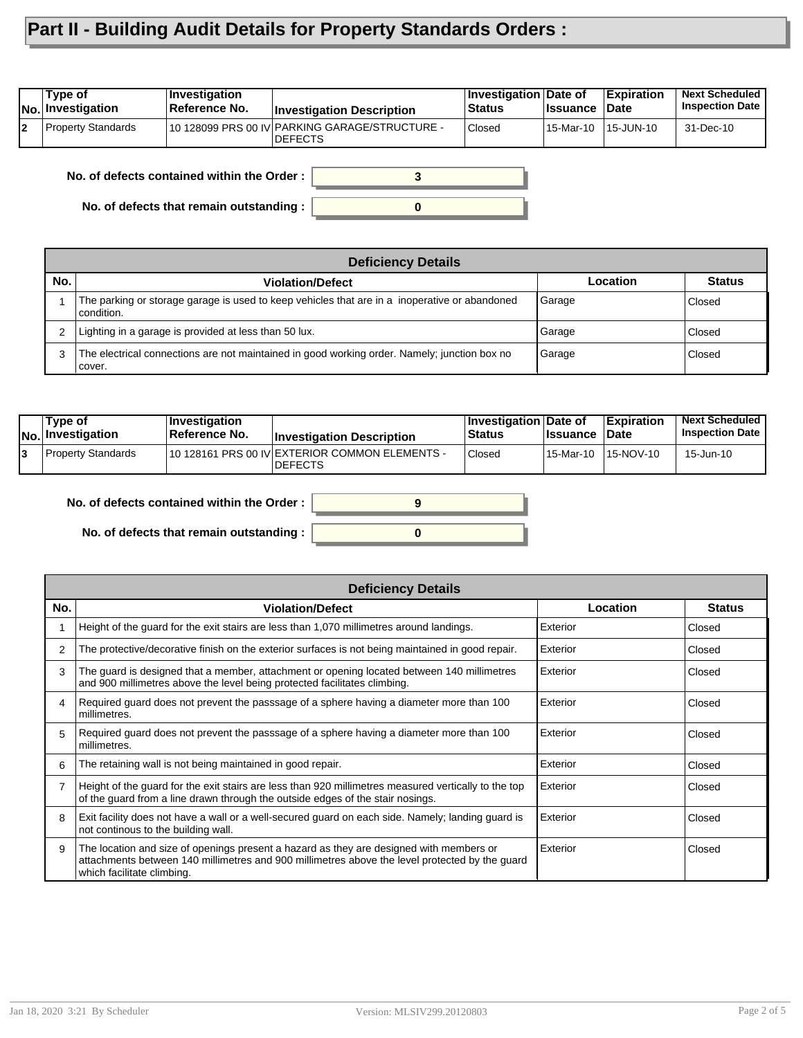## **Part II - Building Audit Details for Property Standards Orders :**

| No. Investigation  | Reference No. | <b>Investigation Description</b>                                 | <b>Status</b> | <b>Issuance</b> | <b>Date</b> | <b>Inspection Date</b> |
|--------------------|---------------|------------------------------------------------------------------|---------------|-----------------|-------------|------------------------|
| Property Standards |               | 10 128099 PRS 00 IV PARKING GARAGE/STRUCTURE -<br><b>DEFECTS</b> | Closed        | 15-Mar-10       | 15-JUN-10   | 31-Dec-10              |

**No. of defects contained within the Order :**

**No. of defects that remain outstanding :**

|     | <b>Deficiency Details</b>                                                                                     |          |               |  |  |  |  |
|-----|---------------------------------------------------------------------------------------------------------------|----------|---------------|--|--|--|--|
| No. | <b>Violation/Defect</b>                                                                                       | Location | <b>Status</b> |  |  |  |  |
|     | The parking or storage garage is used to keep vehicles that are in a inoperative or abandoned<br>l condition. | Garage   | Closed        |  |  |  |  |
| 2   | Lighting in a garage is provided at less than 50 lux.                                                         | Garage   | Closed        |  |  |  |  |
| 3   | The electrical connections are not maintained in good working order. Namely; junction box no<br>l cover.      | Garage   | Closed        |  |  |  |  |

**0**

**3**

|    | Type of<br><b>No. Investigation</b> | ∣Investiqation<br>Reference No. | <b>Investigation Description</b>                                 | Investigation Date of<br><b>Status</b> | <b>Ilssuance Date</b> | Expiration          | Next Scheduled<br><b>Inspection Date I</b> |
|----|-------------------------------------|---------------------------------|------------------------------------------------------------------|----------------------------------------|-----------------------|---------------------|--------------------------------------------|
| 13 | <b>Property Standards</b>           |                                 | 10 128161 PRS 00 IV EXTERIOR COMMON ELEMENTS -<br><b>DEFECTS</b> | <b>Closed</b>                          |                       | 15-Mar-10 15-NOV-10 | 15-Jun-10                                  |
|    |                                     |                                 |                                                                  |                                        |                       |                     |                                            |



**No. of defects that remain outstanding :**

| 9 |  |
|---|--|
|   |  |

|     | <b>Deficiency Details</b>                                                                                                                                                                                               |          |               |  |  |  |  |
|-----|-------------------------------------------------------------------------------------------------------------------------------------------------------------------------------------------------------------------------|----------|---------------|--|--|--|--|
| No. | <b>Violation/Defect</b>                                                                                                                                                                                                 | Location | <b>Status</b> |  |  |  |  |
|     | Height of the guard for the exit stairs are less than 1,070 millimetres around landings.                                                                                                                                | Exterior | Closed        |  |  |  |  |
| 2   | The protective/decorative finish on the exterior surfaces is not being maintained in good repair.                                                                                                                       | Exterior | Closed        |  |  |  |  |
| 3   | The guard is designed that a member, attachment or opening located between 140 millimetres<br>and 900 millimetres above the level being protected facilitates climbing.                                                 | Exterior | Closed        |  |  |  |  |
| 4   | Required guard does not prevent the passsage of a sphere having a diameter more than 100<br>millimetres.                                                                                                                | Exterior | Closed        |  |  |  |  |
| 5   | Required guard does not prevent the passsage of a sphere having a diameter more than 100<br>millimetres.                                                                                                                | Exterior | Closed        |  |  |  |  |
| 6   | The retaining wall is not being maintained in good repair.                                                                                                                                                              | Exterior | Closed        |  |  |  |  |
|     | Height of the guard for the exit stairs are less than 920 millimetres measured vertically to the top<br>of the guard from a line drawn through the outside edges of the stair nosings.                                  | Exterior | Closed        |  |  |  |  |
| 8   | Exit facility does not have a wall or a well-secured guard on each side. Namely; landing guard is<br>not continous to the building wall.                                                                                | Exterior | Closed        |  |  |  |  |
| 9   | The location and size of openings present a hazard as they are designed with members or<br>attachments between 140 millimetres and 900 millimetres above the level protected by the guard<br>which facilitate climbing. | Exterior | Closed        |  |  |  |  |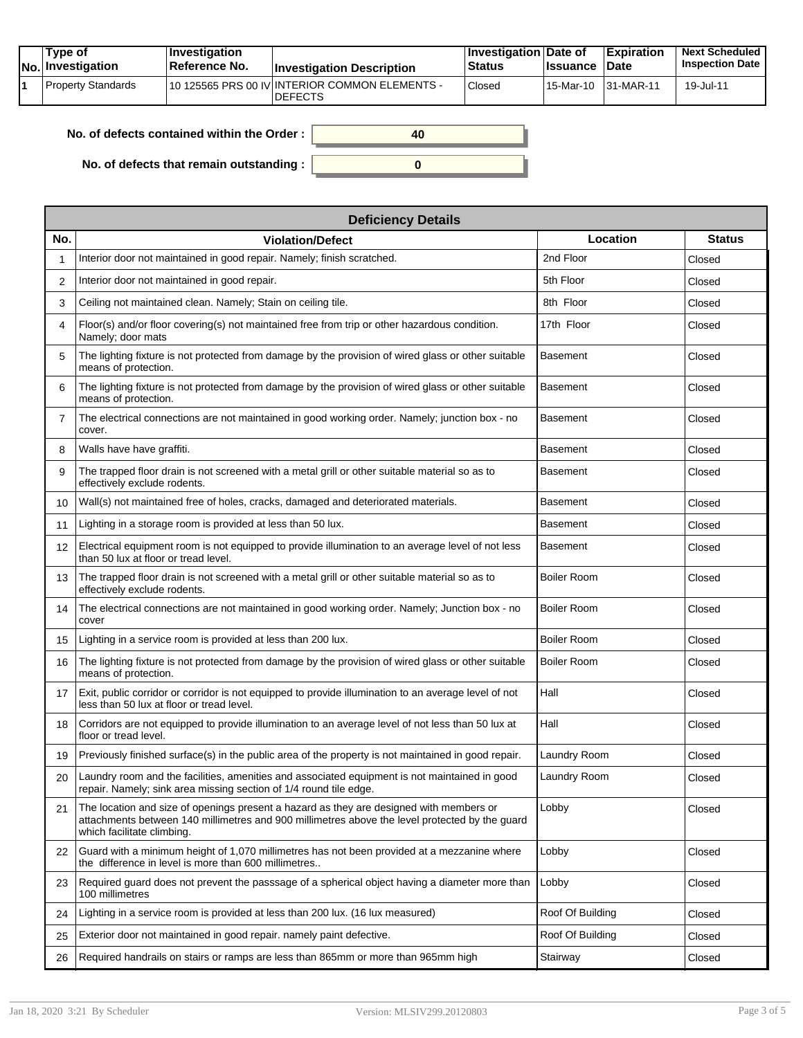| Tvpe of<br>No. Investigation | $\blacksquare$ Investigation<br>Reference No. | <b>Investigation Description</b>                                 | <b>Investigation Date of</b><br><b>Status</b> | <b>Issuance</b> | <b>Expiration</b><br><b>Date</b> | <b>Next Scheduled</b><br><b>Inspection Date</b> |
|------------------------------|-----------------------------------------------|------------------------------------------------------------------|-----------------------------------------------|-----------------|----------------------------------|-------------------------------------------------|
| Property Standards           |                                               | 10 125565 PRS 00 IV INTERIOR COMMON ELEMENTS -<br><b>DEFECTS</b> | Closed                                        | 15-Mar-10       | $ 31-MAR-11$                     | 19-Jul-11                                       |

| No. of defects contained within the Order:       | 40 |
|--------------------------------------------------|----|
|                                                  |    |
| No. of defects that remain outstanding : $\vert$ |    |

|                | <b>Deficiency Details</b>                                                                                                                                                                                               |                    |               |  |  |  |  |  |  |
|----------------|-------------------------------------------------------------------------------------------------------------------------------------------------------------------------------------------------------------------------|--------------------|---------------|--|--|--|--|--|--|
| No.            | <b>Violation/Defect</b>                                                                                                                                                                                                 | Location           | <b>Status</b> |  |  |  |  |  |  |
| 1              | Interior door not maintained in good repair. Namely; finish scratched.                                                                                                                                                  | 2nd Floor          | Closed        |  |  |  |  |  |  |
| 2              | Interior door not maintained in good repair.                                                                                                                                                                            | 5th Floor          | Closed        |  |  |  |  |  |  |
| 3              | Ceiling not maintained clean. Namely; Stain on ceiling tile.                                                                                                                                                            | 8th Floor          | Closed        |  |  |  |  |  |  |
| 4              | Floor(s) and/or floor covering(s) not maintained free from trip or other hazardous condition.<br>Namely; door mats                                                                                                      | 17th Floor         | Closed        |  |  |  |  |  |  |
| 5              | The lighting fixture is not protected from damage by the provision of wired glass or other suitable<br>means of protection.                                                                                             | <b>Basement</b>    | Closed        |  |  |  |  |  |  |
| 6              | The lighting fixture is not protected from damage by the provision of wired glass or other suitable<br>means of protection.                                                                                             | <b>Basement</b>    | Closed        |  |  |  |  |  |  |
| $\overline{7}$ | The electrical connections are not maintained in good working order. Namely; junction box - no<br>cover.                                                                                                                | <b>Basement</b>    | Closed        |  |  |  |  |  |  |
| 8              | Walls have have graffiti.                                                                                                                                                                                               | <b>Basement</b>    | Closed        |  |  |  |  |  |  |
| 9              | The trapped floor drain is not screened with a metal grill or other suitable material so as to<br>effectively exclude rodents.                                                                                          | <b>Basement</b>    | Closed        |  |  |  |  |  |  |
| 10             | Wall(s) not maintained free of holes, cracks, damaged and deteriorated materials.                                                                                                                                       | <b>Basement</b>    | Closed        |  |  |  |  |  |  |
| 11             | Lighting in a storage room is provided at less than 50 lux.                                                                                                                                                             | <b>Basement</b>    | Closed        |  |  |  |  |  |  |
| 12             | Electrical equipment room is not equipped to provide illumination to an average level of not less<br>than 50 lux at floor or tread level.                                                                               | <b>Basement</b>    | Closed        |  |  |  |  |  |  |
| 13             | The trapped floor drain is not screened with a metal grill or other suitable material so as to<br>effectively exclude rodents.                                                                                          | <b>Boiler Room</b> | Closed        |  |  |  |  |  |  |
| 14             | The electrical connections are not maintained in good working order. Namely; Junction box - no<br>cover                                                                                                                 | <b>Boiler Room</b> | Closed        |  |  |  |  |  |  |
| 15             | Lighting in a service room is provided at less than 200 lux.                                                                                                                                                            | <b>Boiler Room</b> | Closed        |  |  |  |  |  |  |
| 16             | The lighting fixture is not protected from damage by the provision of wired glass or other suitable<br>means of protection.                                                                                             | <b>Boiler Room</b> | Closed        |  |  |  |  |  |  |
| 17             | Exit, public corridor or corridor is not equipped to provide illumination to an average level of not<br>less than 50 lux at floor or tread level.                                                                       | Hall               | Closed        |  |  |  |  |  |  |
| 18             | Corridors are not equipped to provide illumination to an average level of not less than 50 lux at<br>floor or tread level.                                                                                              | Hall               | Closed        |  |  |  |  |  |  |
| 19             | Previously finished surface(s) in the public area of the property is not maintained in good repair.                                                                                                                     | Laundry Room       | Closed        |  |  |  |  |  |  |
| 20             | Laundry room and the facilities, amenities and associated equipment is not maintained in good<br>repair. Namely; sink area missing section of 1/4 round tile edge.                                                      | Laundry Room       | Closed        |  |  |  |  |  |  |
| 21             | The location and size of openings present a hazard as they are designed with members or<br>attachments between 140 millimetres and 900 millimetres above the level protected by the quard<br>which facilitate climbing. | Lobby              | Closed        |  |  |  |  |  |  |
| 22             | Guard with a minimum height of 1,070 millimetres has not been provided at a mezzanine where<br>the difference in level is more than 600 millimetres                                                                     | Lobby              | Closed        |  |  |  |  |  |  |
| 23             | Required guard does not prevent the passsage of a spherical object having a diameter more than<br>100 millimetres                                                                                                       | Lobby              | Closed        |  |  |  |  |  |  |
| 24             | Lighting in a service room is provided at less than 200 lux. (16 lux measured)                                                                                                                                          | Roof Of Building   | Closed        |  |  |  |  |  |  |
| 25             | Exterior door not maintained in good repair. namely paint defective.                                                                                                                                                    | Roof Of Building   | Closed        |  |  |  |  |  |  |
| 26             | Required handrails on stairs or ramps are less than 865mm or more than 965mm high                                                                                                                                       | Stairway           | Closed        |  |  |  |  |  |  |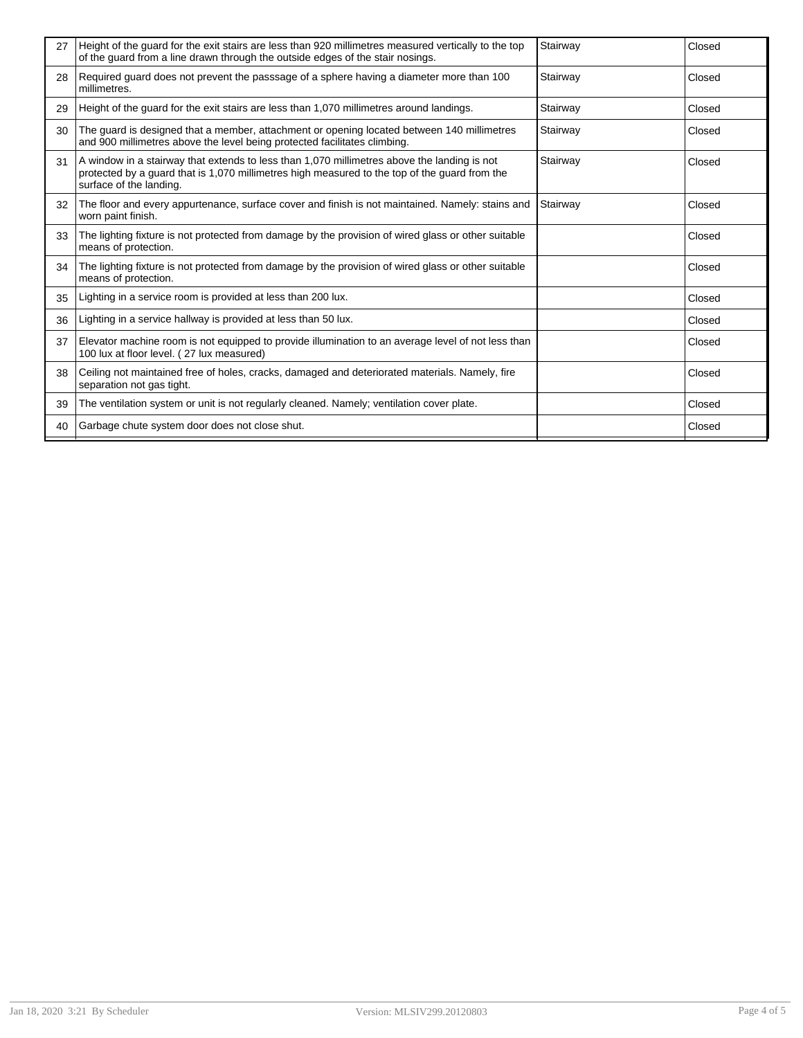| 27 | Height of the quard for the exit stairs are less than 920 millimetres measured vertically to the top<br>of the quard from a line drawn through the outside edges of the stair nosings.                                  | Stairway | Closed |
|----|-------------------------------------------------------------------------------------------------------------------------------------------------------------------------------------------------------------------------|----------|--------|
| 28 | Required guard does not prevent the passsage of a sphere having a diameter more than 100<br>millimetres.                                                                                                                | Stairway | Closed |
| 29 | Height of the guard for the exit stairs are less than 1,070 millimetres around landings.                                                                                                                                | Stairway | Closed |
| 30 | The guard is designed that a member, attachment or opening located between 140 millimetres<br>and 900 millimetres above the level being protected facilitates climbing.                                                 | Stairway | Closed |
| 31 | A window in a stairway that extends to less than 1,070 millimetres above the landing is not<br>protected by a guard that is 1,070 millimetres high measured to the top of the guard from the<br>surface of the landing. | Stairway | Closed |
| 32 | The floor and every appurtenance, surface cover and finish is not maintained. Namely: stains and<br>worn paint finish.                                                                                                  | Stairway | Closed |
| 33 | The lighting fixture is not protected from damage by the provision of wired glass or other suitable<br>means of protection.                                                                                             |          | Closed |
| 34 | The lighting fixture is not protected from damage by the provision of wired glass or other suitable<br>means of protection.                                                                                             |          | Closed |
| 35 | Lighting in a service room is provided at less than 200 lux.                                                                                                                                                            |          | Closed |
| 36 | Lighting in a service hallway is provided at less than 50 lux.                                                                                                                                                          |          | Closed |
| 37 | Elevator machine room is not equipped to provide illumination to an average level of not less than<br>100 lux at floor level. (27 lux measured)                                                                         |          | Closed |
| 38 | Ceiling not maintained free of holes, cracks, damaged and deteriorated materials. Namely, fire<br>separation not gas tight.                                                                                             |          | Closed |
| 39 | The ventilation system or unit is not regularly cleaned. Namely; ventilation cover plate.                                                                                                                               |          | Closed |
| 40 | Garbage chute system door does not close shut.                                                                                                                                                                          |          | Closed |